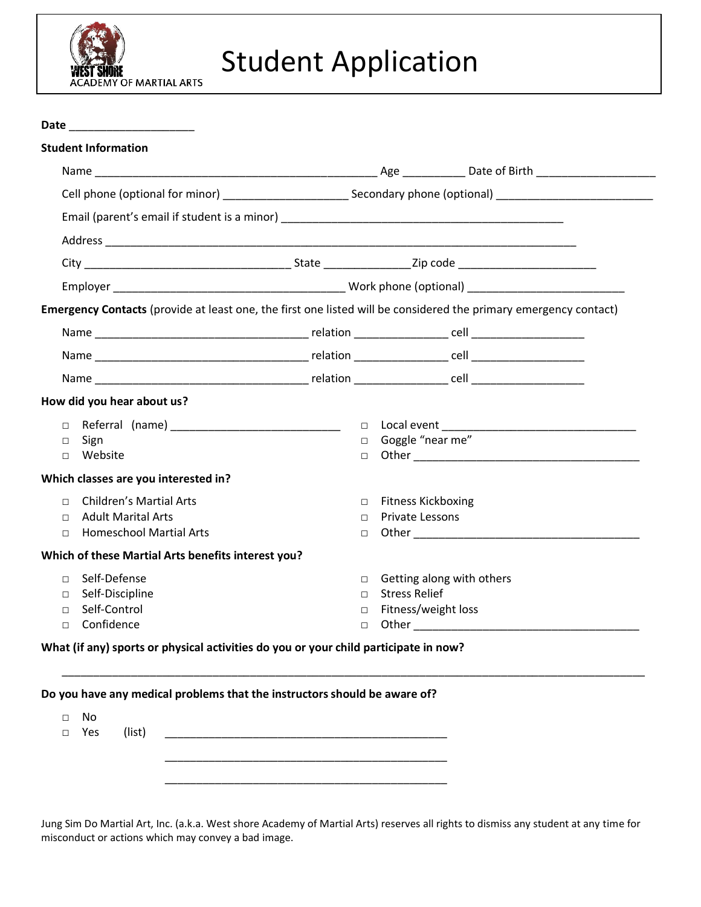

## Student Application

**Date** \_\_\_\_\_\_\_\_\_\_\_\_\_\_\_\_\_\_\_\_

| Emergency Contacts (provide at least one, the first one listed will be considered the primary emergency contact) |                                  |                                                                                                               |  |
|------------------------------------------------------------------------------------------------------------------|----------------------------------|---------------------------------------------------------------------------------------------------------------|--|
|                                                                                                                  |                                  |                                                                                                               |  |
|                                                                                                                  |                                  |                                                                                                               |  |
|                                                                                                                  |                                  |                                                                                                               |  |
|                                                                                                                  |                                  |                                                                                                               |  |
| How did you hear about us?                                                                                       |                                  |                                                                                                               |  |
| Referral (name) __________________________________<br>$\Box$                                                     |                                  |                                                                                                               |  |
| Sign<br>$\Box$                                                                                                   | □ Goggle "near me"               |                                                                                                               |  |
| □ Website                                                                                                        | П.                               |                                                                                                               |  |
| Which classes are you interested in?                                                                             |                                  |                                                                                                               |  |
| <b>Children's Martial Arts</b><br>$\Box$                                                                         | □ Fitness Kickboxing             |                                                                                                               |  |
| <b>Adult Marital Arts</b><br>$\Box$                                                                              | <b>Private Lessons</b><br>$\Box$ |                                                                                                               |  |
| <b>Homeschool Martial Arts</b><br>$\Box$                                                                         | П.                               | Other and the contract of the contract of the contract of the contract of the contract of the contract of the |  |
| Which of these Martial Arts benefits interest you?                                                               |                                  |                                                                                                               |  |
| Self-Defense<br>$\Box$                                                                                           | $\Box$                           | Getting along with others                                                                                     |  |
| Self-Discipline<br>$\Box$                                                                                        | <b>Stress Relief</b><br>$\Box$   |                                                                                                               |  |
|                                                                                                                  | $\Box$                           | Fitness/weight loss                                                                                           |  |
| Self-Control<br>$\Box$                                                                                           |                                  |                                                                                                               |  |

\_\_\_\_\_\_\_\_\_\_\_\_\_\_\_\_\_\_\_\_\_\_\_\_\_\_\_\_\_\_\_\_\_\_\_\_\_\_\_\_\_\_\_\_\_\_\_\_\_\_\_\_\_\_\_\_\_\_\_\_\_\_\_\_\_\_\_\_\_\_\_\_\_\_\_\_\_\_\_\_\_\_\_\_\_\_\_\_\_\_\_\_\_

|        |     |        | Do you have any medical problems that the instructors should be aware of? |  |
|--------|-----|--------|---------------------------------------------------------------------------|--|
| П      | No  |        |                                                                           |  |
| $\Box$ | Yes | (list) |                                                                           |  |
|        |     |        |                                                                           |  |
|        |     |        |                                                                           |  |
|        |     |        |                                                                           |  |

Jung Sim Do Martial Art, Inc. (a.k.a. West shore Academy of Martial Arts) reserves all rights to dismiss any student at any time for misconduct or actions which may convey a bad image.